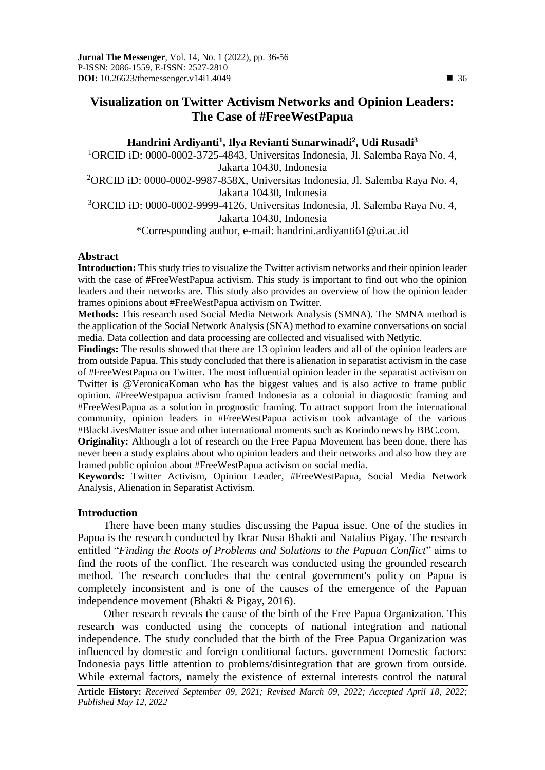# **Visualization on Twitter Activism Networks and Opinion Leaders: The Case of #FreeWestPapua**

# **Handrini Ardiyanti<sup>1</sup> , Ilya Revianti Sunarwinadi<sup>2</sup> , Udi Rusadi<sup>3</sup>** <sup>1</sup>ORCID iD: 0000-0002-3725-4843, Universitas Indonesia, Jl. Salemba Raya No. 4, Jakarta 10430, Indonesia <sup>2</sup>[ORCID iD: 0](https://orcid.org/0000-0003-3934-5586)000-0002-9987-858X, Universitas Indonesia, Jl. Salemba Raya No. 4, Jakarta 10430, Indonesia <sup>3</sup>[ORCID iD: 0000-0002-9999-4126,](https://orcid.org/0000-0002-9999-4126) Universitas Indonesia, Jl. Salemba Raya No. 4, Jakarta 10430, Indonesia \*Corresponding author, e-mail: [handrini.ardiyanti61@ui.ac.id](mailto:handrini.ardiyanti61@ui.ac.id)

# **Abstract**

**Introduction:** This study tries to visualize the Twitter activism networks and their opinion leader with the case of #FreeWestPapua activism. This study is important to find out who the opinion leaders and their networks are. This study also provides an overview of how the opinion leader frames opinions about #FreeWestPapua activism on Twitter.

**Methods:** This research used Social Media Network Analysis (SMNA). The SMNA method is the application of the Social Network Analysis (SNA) method to examine conversations on social media. Data collection and data processing are collected and visualised with Netlytic.

**Findings:** The results showed that there are 13 opinion leaders and all of the opinion leaders are from outside Papua. This study concluded that there is alienation in separatist activism in the case of #FreeWestPapua on Twitter. The most influential opinion leader in the separatist activism on Twitter is @VeronicaKoman who has the biggest values and is also active to frame public opinion. #FreeWestpapua activism framed Indonesia as a colonial in diagnostic framing and #FreeWestPapua as a solution in prognostic framing. To attract support from the international community, opinion leaders in #FreeWestPapua activism took advantage of the various #BlackLivesMatter issue and other international moments such as Korindo news by BBC.com.

**Originality:** Although a lot of research on the Free Papua Movement has been done, there has never been a study explains about who opinion leaders and their networks and also how they are framed public opinion about #FreeWestPapua activism on social media.

**Keywords:** Twitter Activism, Opinion Leader, #FreeWestPapua, Social Media Network Analysis, Alienation in Separatist Activism.

# **Introduction**

There have been many studies discussing the Papua issue. One of the studies in Papua is the research conducted by Ikrar Nusa Bhakti and Natalius Pigay. The research entitled "*Finding the Roots of Problems and Solutions to the Papuan Conflict*" aims to find the roots of the conflict. The research was conducted using the grounded research method. The research concludes that the central government's policy on Papua is completely inconsistent and is one of the causes of the emergence of the Papuan independence movement (Bhakti & Pigay, 2016).

Other research reveals the cause of the birth of the Free Papua Organization. This research was conducted using the concepts of national integration and national independence. The study concluded that the birth of the Free Papua Organization was influenced by domestic and foreign conditional factors. government Domestic factors: Indonesia pays little attention to problems/disintegration that are grown from outside. While external factors, namely the existence of external interests control the natural

**Article History:** *Received September 09, 2021; Revised March 09, 2022; Accepted April 18, 2022; Published May 12, 2022*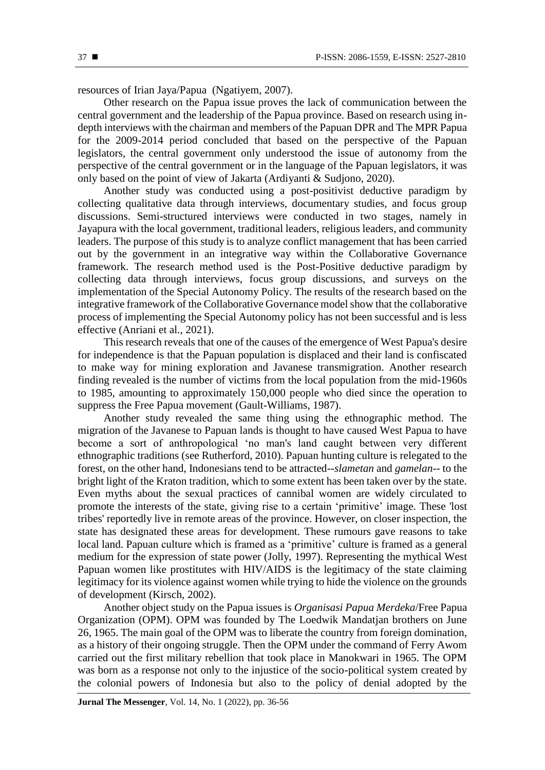resources of Irian Jaya/Papua (Ngatiyem, 2007).

Other research on the Papua issue proves the lack of communication between the central government and the leadership of the Papua province. Based on research using indepth interviews with the chairman and members of the Papuan DPR and The MPR Papua for the 2009-2014 period concluded that based on the perspective of the Papuan legislators, the central government only understood the issue of autonomy from the perspective of the central government or in the language of the Papuan legislators, it was only based on the point of view of Jakarta (Ardiyanti & Sudjono, 2020).

Another study was conducted using a post-positivist deductive paradigm by collecting qualitative data through interviews, documentary studies, and focus group discussions. Semi-structured interviews were conducted in two stages, namely in Jayapura with the local government, traditional leaders, religious leaders, and community leaders. The purpose of this study is to analyze conflict management that has been carried out by the government in an integrative way within the Collaborative Governance framework. The research method used is the Post-Positive deductive paradigm by collecting data through interviews, focus group discussions, and surveys on the implementation of the Special Autonomy Policy. The results of the research based on the integrative framework of the Collaborative Governance model show that the collaborative process of implementing the Special Autonomy policy has not been successful and is less effective (Anriani et al., 2021).

This research reveals that one of the causes of the emergence of West Papua's desire for independence is that the Papuan population is displaced and their land is confiscated to make way for mining exploration and Javanese transmigration. Another research finding revealed is the number of victims from the local population from the mid-1960s to 1985, amounting to approximately 150,000 people who died since the operation to suppress the Free Papua movement (Gault-Williams, 1987).

Another study revealed the same thing using the ethnographic method. The migration of the Javanese to Papuan lands is thought to have caused West Papua to have become a sort of anthropological 'no man's land caught between very different ethnographic traditions (see Rutherford, 2010). Papuan hunting culture is relegated to the forest, on the other hand, Indonesians tend to be attracted--*slametan* and *gamelan*-- to the bright light of the Kraton tradition, which to some extent has been taken over by the state. Even myths about the sexual practices of cannibal women are widely circulated to promote the interests of the state, giving rise to a certain 'primitive' image. These 'lost tribes' reportedly live in remote areas of the province. However, on closer inspection, the state has designated these areas for development. These rumours gave reasons to take local land. Papuan culture which is framed as a 'primitive' culture is framed as a general medium for the expression of state power (Jolly, 1997). Representing the mythical West Papuan women like prostitutes with HIV/AIDS is the legitimacy of the state claiming legitimacy for its violence against women while trying to hide the violence on the grounds of development (Kirsch, 2002).

Another object study on the Papua issues is *Organisasi Papua Merdeka*/Free Papua Organization (OPM). OPM was founded by The Loedwik Mandatjan brothers on June 26, 1965. The main goal of the OPM was to liberate the country from foreign domination, as a history of their ongoing struggle. Then the OPM under the command of Ferry Awom carried out the first military rebellion that took place in Manokwari in 1965. The OPM was born as a response not only to the injustice of the socio-political system created by the colonial powers of Indonesia but also to the policy of denial adopted by the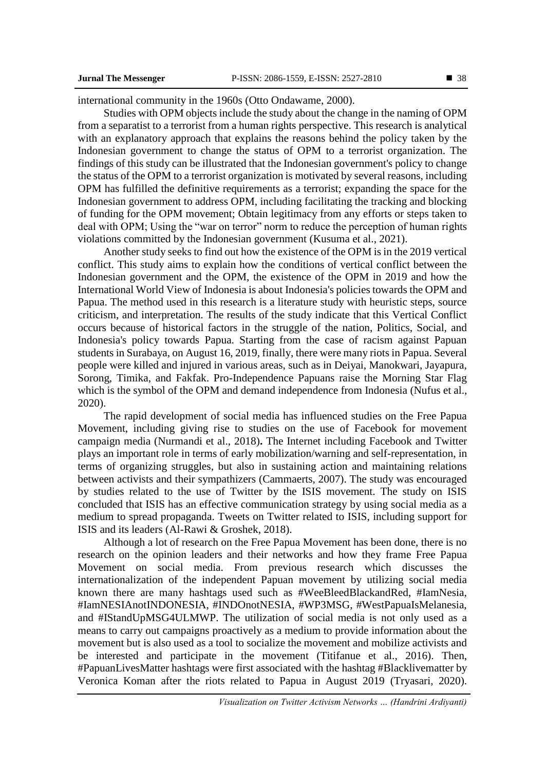international community in the 1960s (Otto Ondawame, 2000).

Studies with OPM objects include the study about the change in the naming of OPM from a separatist to a terrorist from a human rights perspective. This research is analytical with an explanatory approach that explains the reasons behind the policy taken by the Indonesian government to change the status of OPM to a terrorist organization. The findings of this study can be illustrated that the Indonesian government's policy to change the status of the OPM to a terrorist organization is motivated by several reasons, including OPM has fulfilled the definitive requirements as a terrorist; expanding the space for the Indonesian government to address OPM, including facilitating the tracking and blocking of funding for the OPM movement; Obtain legitimacy from any efforts or steps taken to deal with OPM; Using the "war on terror" norm to reduce the perception of human rights violations committed by the Indonesian government (Kusuma et al., 2021).

Another study seeks to find out how the existence of the OPM is in the 2019 vertical conflict. This study aims to explain how the conditions of vertical conflict between the Indonesian government and the OPM, the existence of the OPM in 2019 and how the International World View of Indonesia is about Indonesia's policies towards the OPM and Papua. The method used in this research is a literature study with heuristic steps, source criticism, and interpretation. The results of the study indicate that this Vertical Conflict occurs because of historical factors in the struggle of the nation, Politics, Social, and Indonesia's policy towards Papua. Starting from the case of racism against Papuan students in Surabaya, on August 16, 2019, finally, there were many riots in Papua. Several people were killed and injured in various areas, such as in Deiyai, Manokwari, Jayapura, Sorong, Timika, and Fakfak. Pro-Independence Papuans raise the Morning Star Flag which is the symbol of the OPM and demand independence from Indonesia (Nufus et al., 2020).

The rapid development of social media has influenced studies on the Free Papua Movement, including giving rise to studies on the use of Facebook for movement campaign media (Nurmandi et al., 2018)**.** The Internet including Facebook and Twitter plays an important role in terms of early mobilization/warning and self-representation, in terms of organizing struggles, but also in sustaining action and maintaining relations between activists and their sympathizers (Cammaerts, 2007). The study was encouraged by studies related to the use of Twitter by the ISIS movement. The study on ISIS concluded that ISIS has an effective communication strategy by using social media as a medium to spread propaganda. Tweets on Twitter related to ISIS, including support for ISIS and its leaders (Al-Rawi & Groshek, 2018).

Although a lot of research on the Free Papua Movement has been done, there is no research on the opinion leaders and their networks and how they frame Free Papua Movement on social media. From previous research which discusses the internationalization of the independent Papuan movement by utilizing social media known there are many hashtags used such as #WeeBleedBlackandRed, #IamNesia, #IamNESIAnotINDONESIA, #INDOnotNESIA, #WP3MSG, #WestPapuaIsMelanesia, and #IStandUpMSG4ULMWP. The utilization of social media is not only used as a means to carry out campaigns proactively as a medium to provide information about the movement but is also used as a tool to socialize the movement and mobilize activists and be interested and participate in the movement (Titifanue et al., 2016). Then, #PapuanLivesMatter hashtags were first associated with the hashtag #Blacklivematter by Veronica Koman after the riots related to Papua in August 2019 (Tryasari, 2020).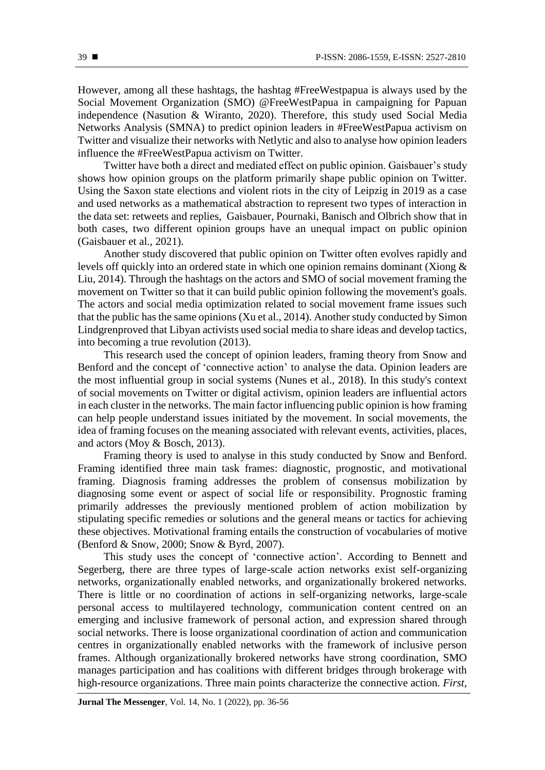However, among all these hashtags, the hashtag #FreeWestpapua is always used by the Social Movement Organization (SMO) @FreeWestPapua in campaigning for Papuan independence (Nasution & Wiranto, 2020). Therefore, this study used Social Media Networks Analysis (SMNA) to predict opinion leaders in #FreeWestPapua activism on Twitter and visualize their networks with Netlytic and also to analyse how opinion leaders influence the #FreeWestPapua activism on Twitter.

Twitter have both a direct and mediated effect on public opinion. Gaisbauer's study shows how opinion groups on the platform primarily shape public opinion on Twitter. Using the Saxon state elections and violent riots in the city of Leipzig in 2019 as a case and used networks as a mathematical abstraction to represent two types of interaction in the data set: retweets and replies, Gaisbauer, Pournaki, Banisch and Olbrich show that in both cases, two different opinion groups have an unequal impact on public opinion (Gaisbauer et al., 2021).

Another study discovered that public opinion on Twitter often evolves rapidly and levels off quickly into an ordered state in which one opinion remains dominant (Xiong & Liu, 2014). Through the hashtags on the actors and SMO of social movement framing the movement on Twitter so that it can build public opinion following the movement's goals. The actors and social media optimization related to social movement frame issues such that the public has the same opinions (Xu et al., 2014). Another study conducted by Simon Lindgrenproved that Libyan activists used social media to share ideas and develop tactics, into becoming a true revolution (2013).

This research used the concept of opinion leaders, framing theory from Snow and Benford and the concept of 'connective action' to analyse the data. Opinion leaders are the most influential group in social systems (Nunes et al., 2018). In this study's context of social movements on Twitter or digital activism, opinion leaders are influential actors in each cluster in the networks. The main factor influencing public opinion is how framing can help people understand issues initiated by the movement. In social movements, the idea of framing focuses on the meaning associated with relevant events, activities, places, and actors (Moy & Bosch, 2013).

Framing theory is used to analyse in this study conducted by Snow and Benford. Framing identified three main task frames: diagnostic, prognostic, and motivational framing. Diagnosis framing addresses the problem of consensus mobilization by diagnosing some event or aspect of social life or responsibility. Prognostic framing primarily addresses the previously mentioned problem of action mobilization by stipulating specific remedies or solutions and the general means or tactics for achieving these objectives. Motivational framing entails the construction of vocabularies of motive (Benford & Snow, 2000; Snow & Byrd, 2007).

This study uses the concept of 'connective action'. According to Bennett and Segerberg, there are three types of large-scale action networks exist self-organizing networks, organizationally enabled networks, and organizationally brokered networks. There is little or no coordination of actions in self-organizing networks, large-scale personal access to multilayered technology, communication content centred on an emerging and inclusive framework of personal action, and expression shared through social networks. There is loose organizational coordination of action and communication centres in organizationally enabled networks with the framework of inclusive person frames. Although organizationally brokered networks have strong coordination, SMO manages participation and has coalitions with different bridges through brokerage with high-resource organizations. Three main points characterize the connective action. *First*,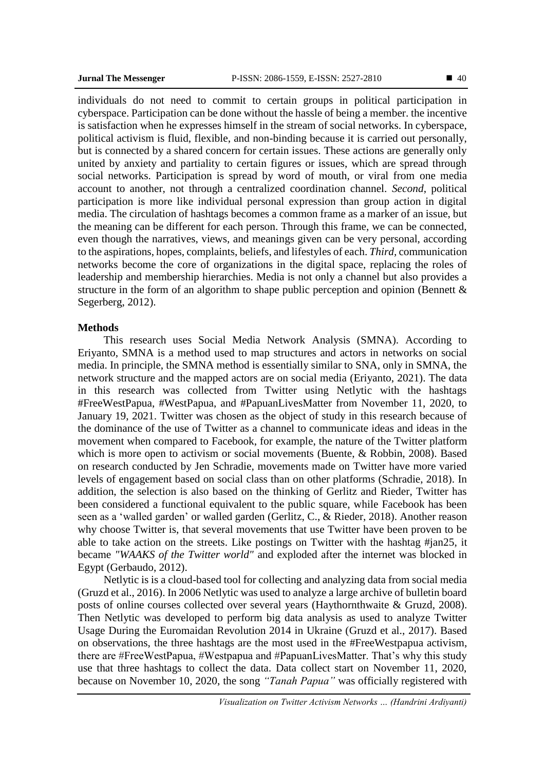individuals do not need to commit to certain groups in political participation in cyberspace. Participation can be done without the hassle of being a member. the incentive is satisfaction when he expresses himself in the stream of social networks. In cyberspace, political activism is fluid, flexible, and non-binding because it is carried out personally, but is connected by a shared concern for certain issues. These actions are generally only united by anxiety and partiality to certain figures or issues, which are spread through social networks. Participation is spread by word of mouth, or viral from one media account to another, not through a centralized coordination channel. *Second*, political participation is more like individual personal expression than group action in digital media. The circulation of hashtags becomes a common frame as a marker of an issue, but the meaning can be different for each person. Through this frame, we can be connected, even though the narratives, views, and meanings given can be very personal, according to the aspirations, hopes, complaints, beliefs, and lifestyles of each. *Third,* communication networks become the core of organizations in the digital space, replacing the roles of leadership and membership hierarchies. Media is not only a channel but also provides a structure in the form of an algorithm to shape public perception and opinion (Bennett  $\&$ Segerberg, 2012).

#### **Methods**

This research uses Social Media Network Analysis (SMNA). According to Eriyanto, SMNA is a method used to map structures and actors in networks on social media. In principle, the SMNA method is essentially similar to SNA, only in SMNA, the network structure and the mapped actors are on social media (Eriyanto, 2021). The data in this research was collected from Twitter using Netlytic with the hashtags #FreeWestPapua, #WestPapua, and #PapuanLivesMatter from November 11, 2020, to January 19, 2021. Twitter was chosen as the object of study in this research because of the dominance of the use of Twitter as a channel to communicate ideas and ideas in the movement when compared to Facebook, for example, the nature of the Twitter platform which is more open to activism or social movements (Buente, & Robbin, 2008). Based on research conducted by Jen Schradie, movements made on Twitter have more varied levels of engagement based on social class than on other platforms (Schradie, 2018). In addition, the selection is also based on the thinking of Gerlitz and Rieder, Twitter has been considered a functional equivalent to the public square, while Facebook has been seen as a 'walled garden' or walled garden (Gerlitz, C., & Rieder, 2018). Another reason why choose Twitter is, that several movements that use Twitter have been proven to be able to take action on the streets. Like postings on Twitter with the hashtag #jan25, it became *"WAAKS of the Twitter world"* and exploded after the internet was blocked in Egypt (Gerbaudo, 2012).

Netlytic is is a cloud-based tool for collecting and analyzing data from social media (Gruzd et al., 2016). In 2006 Netlytic was used to analyze a large archive of bulletin board posts of online courses collected over several years (Haythornthwaite & Gruzd, 2008). Then Netlytic was developed to perform big data analysis as used to analyze Twitter Usage During the Euromaidan Revolution 2014 in Ukraine (Gruzd et al., 2017). Based on observations, the three hashtags are the most used in the #FreeWestpapua activism, there are #FreeWestPapua, #Westpapua and #PapuanLivesMatter. That's why this study use that three hashtags to collect the data. Data collect start on November 11, 2020, because on November 10, 2020, the song *"Tanah Papua"* was officially registered with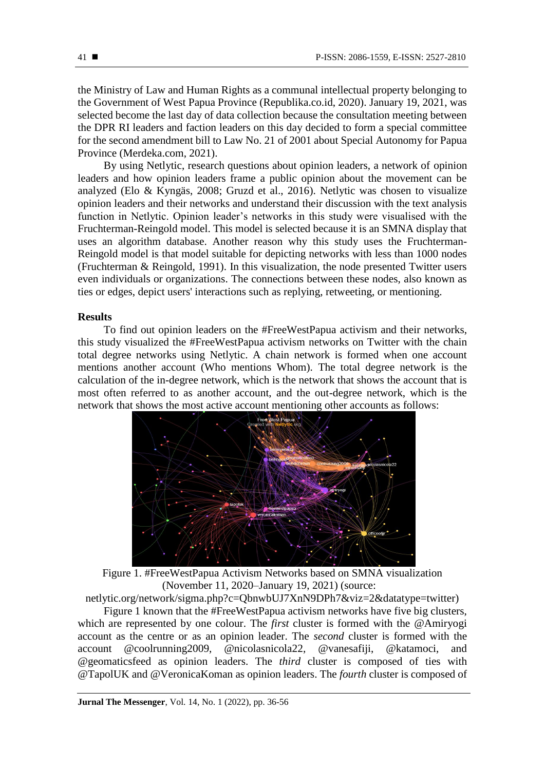the Ministry of Law and Human Rights as a communal intellectual property belonging to the Government of West Papua Province (Republika.co.id, 2020). January 19, 2021, was selected become the last day of data collection because the consultation meeting between the DPR RI leaders and faction leaders on this day decided to form a special committee for the second amendment bill to Law No. 21 of 2001 about Special Autonomy for Papua Province (Merdeka.com, 2021).

By using Netlytic, research questions about opinion leaders, a network of opinion leaders and how opinion leaders frame a public opinion about the movement can be analyzed (Elo & Kyngäs, 2008; Gruzd et al., 2016). Netlytic was chosen to visualize opinion leaders and their networks and understand their discussion with the text analysis function in Netlytic. Opinion leader's networks in this study were visualised with the Fruchterman-Reingold model. This model is selected because it is an SMNA display that uses an algorithm database. Another reason why this study uses the Fruchterman-Reingold model is that model suitable for depicting networks with less than 1000 nodes (Fruchterman & Reingold, 1991). In this visualization, the node presented Twitter users even individuals or organizations. The connections between these nodes, also known as ties or edges, depict users' interactions such as replying, retweeting, or mentioning.

#### **Results**

To find out opinion leaders on the #FreeWestPapua activism and their networks, this study visualized the #FreeWestPapua activism networks on Twitter with the chain total degree networks using Netlytic. A chain network is formed when one account mentions another account (Who mentions Whom). The total degree network is the calculation of the in-degree network, which is the network that shows the account that is most often referred to as another account, and the out-degree network, which is the network that shows the most active account mentioning other accounts as follows:



Figure 1. #FreeWestPapua Activism Networks based on SMNA visualization (November 11, 2020–January 19, 2021) (source:

netlytic.org/network/sigma.php?c=QbnwbUJ7XnN9DPh7&viz=2&datatype=twitter)

Figure 1 known that the #FreeWestPapua activism networks have five big clusters, which are represented by one colour. The *first* cluster is formed with the @Amiryogi account as the centre or as an opinion leader. The *second* cluster is formed with the account @coolrunning2009, @nicolasnicola22, @vanesafiji, @katamoci, and @geomaticsfeed as opinion leaders. The *third* cluster is composed of ties with @TapolUK and @VeronicaKoman as opinion leaders. The *fourth* cluster is composed of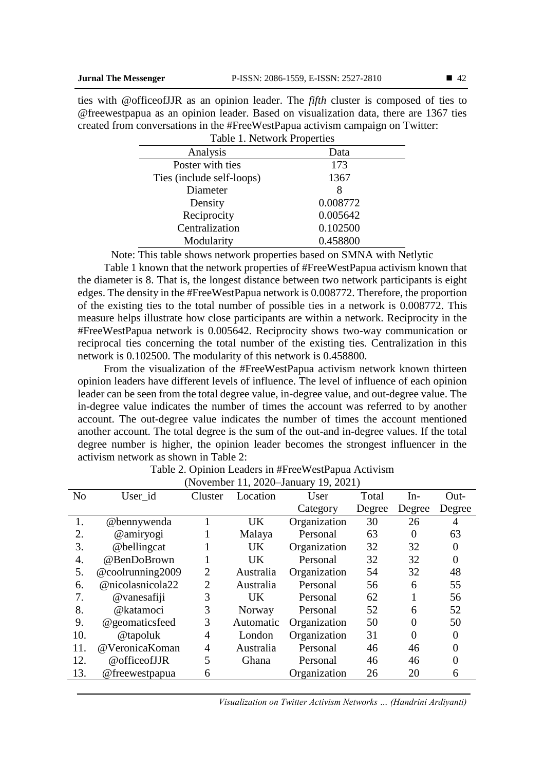ties with @officeofJJR as an opinion leader. The *fifth* cluster is composed of ties to @freewestpapua as an opinion leader. Based on visualization data, there are 1367 ties created from conversations in the #FreeWestPapua activism campaign on Twitter: Table 1. Network Properties

| Data     |  |  |  |  |  |  |  |
|----------|--|--|--|--|--|--|--|
| 173      |  |  |  |  |  |  |  |
| 1367     |  |  |  |  |  |  |  |
| 8        |  |  |  |  |  |  |  |
| 0.008772 |  |  |  |  |  |  |  |
| 0.005642 |  |  |  |  |  |  |  |
| 0.102500 |  |  |  |  |  |  |  |
| 0.458800 |  |  |  |  |  |  |  |
|          |  |  |  |  |  |  |  |

Note: This table shows network properties based on SMNA with Netlytic

Table 1 known that the network properties of #FreeWestPapua activism known that the diameter is 8. That is, the longest distance between two network participants is eight edges. The density in the #FreeWestPapua network is 0.008772. Therefore, the proportion of the existing ties to the total number of possible ties in a network is 0.008772. This measure helps illustrate how close participants are within a network. Reciprocity in the #FreeWestPapua network is 0.005642. Reciprocity shows two-way communication or reciprocal ties concerning the total number of the existing ties. Centralization in this network is 0.102500. The modularity of this network is 0.458800.

From the visualization of the #FreeWestPapua activism network known thirteen opinion leaders have different levels of influence. The level of influence of each opinion leader can be seen from the total degree value, in-degree value, and out-degree value. The in-degree value indicates the number of times the account was referred to by another account. The out-degree value indicates the number of times the account mentioned another account. The total degree is the sum of the out-and in-degree values. If the total degree number is higher, the opinion leader becomes the strongest influencer in the activism network as shown in Table 2:

| (10001100111, 20200011001) |                  |                |           |              |        |        |          |  |  |
|----------------------------|------------------|----------------|-----------|--------------|--------|--------|----------|--|--|
| N <sub>o</sub>             | User_id          | Cluster        | Location  | User         | Total  | In-    | Out-     |  |  |
|                            |                  |                |           | Category     | Degree | Degree | Degree   |  |  |
| 1.                         | @bennywenda      |                | <b>UK</b> | Organization | 30     | 26     | 4        |  |  |
| 2.                         | @amiryogi        |                | Malaya    | Personal     | 63     | 0      | 63       |  |  |
| 3.                         | @bellingcat      |                | <b>UK</b> | Organization | 32     | 32     | $\Omega$ |  |  |
| 4.                         | @BenDoBrown      | 1              | <b>UK</b> | Personal     | 32     | 32     | $\Omega$ |  |  |
| 5.                         | @coolrunning2009 | $\overline{2}$ | Australia | Organization | 54     | 32     | 48       |  |  |
| 6.                         | @nicolasnicola22 | $\overline{2}$ | Australia | Personal     | 56     | 6      | 55       |  |  |
| 7.                         | @vanesafiji      | 3              | <b>UK</b> | Personal     | 62     |        | 56       |  |  |
| 8.                         | @katamoci        | 3              | Norway    | Personal     | 52     | 6      | 52       |  |  |
| 9.                         | @geomaticsfeed   | 3              | Automatic | Organization | 50     | 0      | 50       |  |  |
| 10.                        | @tapoluk         | 4              | London    | Organization | 31     | 0      |          |  |  |
| 11.                        | @VeronicaKoman   | 4              | Australia | Personal     | 46     | 46     |          |  |  |
| 12.                        | @officeofJJR     | 5              | Ghana     | Personal     | 46     | 46     |          |  |  |
| 13.                        | @freewestpapua   | 6              |           | Organization | 26     | 20     | 6        |  |  |
|                            |                  |                |           |              |        |        |          |  |  |

Table 2. Opinion Leaders in #FreeWestPapua Activism (November 11, 2020–January 19, 2021)

*Visualization on Twitter Activism Networks … (Handrini Ardiyanti)*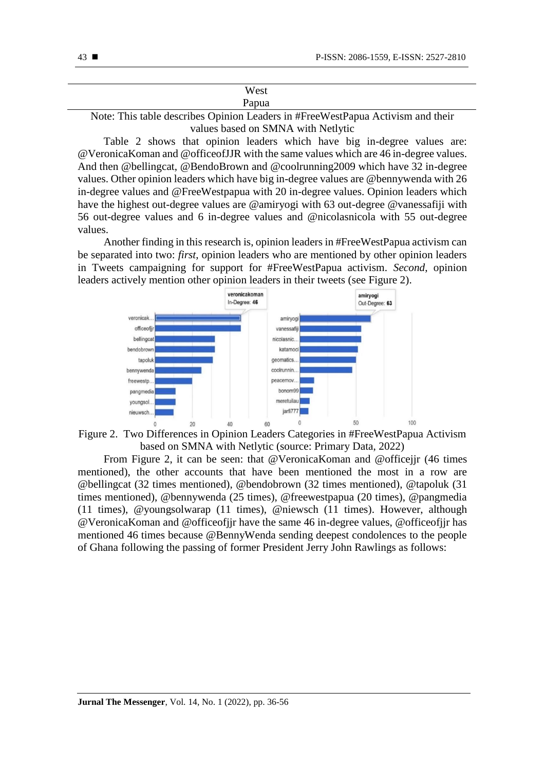| West                                                                            |
|---------------------------------------------------------------------------------|
| Papua                                                                           |
| Note: This table describes Opinion Leaders in #FreeWestPapua Activism and their |

values based on SMNA with Netlytic

Table 2 shows that opinion leaders which have big in-degree values are: @VeronicaKoman and @officeofJJR with the same values which are 46 in-degree values. And then @bellingcat, @BendoBrown and @coolrunning2009 which have 32 in-degree values. Other opinion leaders which have big in-degree values are @bennywenda with 26 in-degree values and @FreeWestpapua with 20 in-degree values. Opinion leaders which have the highest out-degree values are @amiryogi with 63 out-degree @vanessafiji with 56 out-degree values and 6 in-degree values and @nicolasnicola with 55 out-degree values.

Another finding in this research is, opinion leaders in #FreeWestPapua activism can be separated into two: *first*, opinion leaders who are mentioned by other opinion leaders in Tweets campaigning for support for #FreeWestPapua activism. *Second*, opinion leaders actively mention other opinion leaders in their tweets (see Figure 2).





From Figure 2, it can be seen: that @VeronicaKoman and @officejjr (46 times mentioned), the other accounts that have been mentioned the most in a row are @bellingcat (32 times mentioned), @bendobrown (32 times mentioned), @tapoluk (31 times mentioned), @bennywenda (25 times), @freewestpapua (20 times), @pangmedia (11 times), @youngsolwarap (11 times), @niewsch (11 times). However, although @VeronicaKoman and @officeofjjr have the same 46 in-degree values, @officeofjjr has mentioned 46 times because @BennyWenda sending deepest condolences to the people of Ghana following the passing of former President Jerry John Rawlings as follows: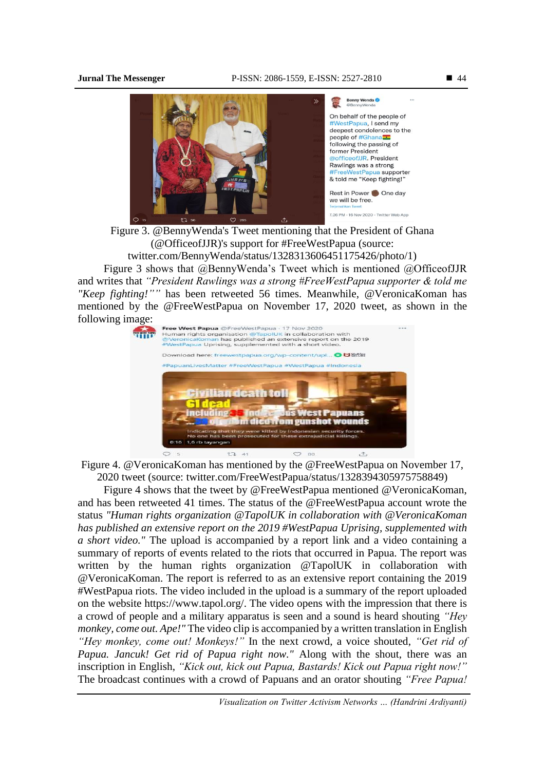

Figure 3. @BennyWenda's Tweet mentioning that the President of Ghana (@OfficeofJJR)'s support for #FreeWestPapua (source: twitter.com/BennyWenda/status/1328313606451175426/photo/1)

Figure 3 shows that @BennyWenda's Tweet which is mentioned @OfficeofJJR and writes that *"President Rawlings was a strong #FreeWestPapua supporter & told me "Keep fighting!""* has been retweeted 56 times. Meanwhile, @VeronicaKoman has mentioned by the @FreeWestPapua on November 17, 2020 tweet, as shown in the following image:



Figure 4. @VeronicaKoman has mentioned by the @FreeWestPapua on November 17, 2020 tweet (source: twitter.com/FreeWestPapua/status/1328394305975758849)

Figure 4 shows that the tweet by @FreeWestPapua mentioned @VeronicaKoman, and has been retweeted 41 times. The status of the @FreeWestPapua account wrote the status *"Human rights organization @TapolUK in collaboration with @VeronicaKoman has published an extensive report on the 2019 #WestPapua Uprising, supplemented with a short video."* The upload is accompanied by a report link and a video containing a summary of reports of events related to the riots that occurred in Papua. The report was written by the human rights organization @TapolUK in collaboration with @VeronicaKoman. The report is referred to as an extensive report containing the 2019 #WestPapua riots. The video included in the upload is a summary of the report uploaded on the website [https://www.tapol.org/.](https://www.tapol.org/) The video opens with the impression that there is a crowd of people and a military apparatus is seen and a sound is heard shouting *"Hey monkey, come out. Ape!*" The video clip is accompanied by a written translation in English *"Hey monkey, come out! Monkeys!"* In the next crowd, a voice shouted, *"Get rid of Papua. Jancuk! Get rid of Papua right now."* Along with the shout, there was an inscription in English, *"Kick out, kick out Papua, Bastards! Kick out Papua right now!"* The broadcast continues with a crowd of Papuans and an orator shouting *"Free Papua!*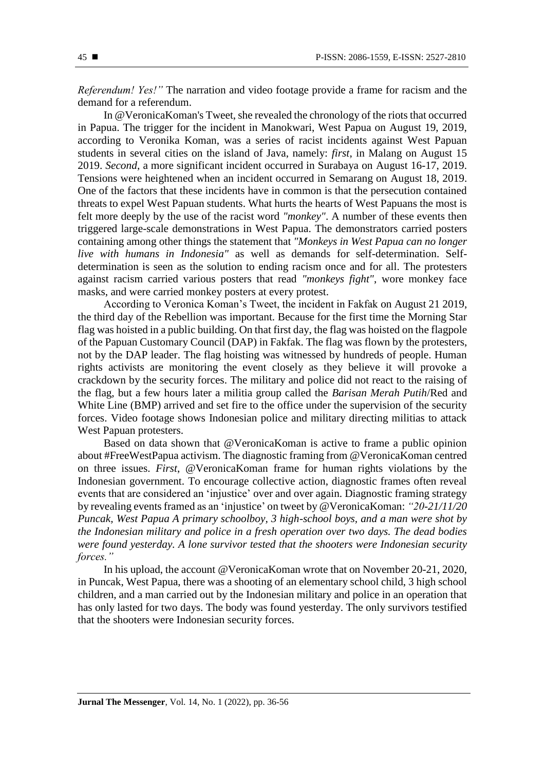*Referendum! Yes!"* The narration and video footage provide a frame for racism and the demand for a referendum.

In @VeronicaKoman's Tweet, she revealed the chronology of the riots that occurred in Papua. The trigger for the incident in Manokwari, West Papua on August 19, 2019, according to Veronika Koman, was a series of racist incidents against West Papuan students in several cities on the island of Java, namely: *first*, in Malang on August 15 2019. *Second*, a more significant incident occurred in Surabaya on August 16-17, 2019. Tensions were heightened when an incident occurred in Semarang on August 18, 2019. One of the factors that these incidents have in common is that the persecution contained threats to expel West Papuan students. What hurts the hearts of West Papuans the most is felt more deeply by the use of the racist word *"monkey"*. A number of these events then triggered large-scale demonstrations in West Papua. The demonstrators carried posters containing among other things the statement that *"Monkeys in West Papua can no longer live with humans in Indonesia"* as well as demands for self-determination. Selfdetermination is seen as the solution to ending racism once and for all. The protesters against racism carried various posters that read *"monkeys fight"*, wore monkey face masks, and were carried monkey posters at every protest.

According to Veronica Koman's Tweet, the incident in Fakfak on August 21 2019, the third day of the Rebellion was important. Because for the first time the Morning Star flag was hoisted in a public building. On that first day, the flag was hoisted on the flagpole of the Papuan Customary Council (DAP) in Fakfak. The flag was flown by the protesters, not by the DAP leader. The flag hoisting was witnessed by hundreds of people. Human rights activists are monitoring the event closely as they believe it will provoke a crackdown by the security forces. The military and police did not react to the raising of the flag, but a few hours later a militia group called the *Barisan Merah Putih*/Red and White Line (BMP) arrived and set fire to the office under the supervision of the security forces. Video footage shows Indonesian police and military directing militias to attack West Papuan protesters.

Based on data shown that @VeronicaKoman is active to frame a public opinion about #FreeWestPapua activism. The diagnostic framing from @VeronicaKoman centred on three issues. *First*, @VeronicaKoman frame for human rights violations by the Indonesian government. To encourage collective action, diagnostic frames often reveal events that are considered an 'injustice' over and over again. Diagnostic framing strategy by revealing events framed as an 'injustice' on tweet by @VeronicaKoman: *"20-21/11/20 Puncak, West Papua A primary schoolboy, 3 high-school boys, and a man were shot by the Indonesian military and police in a fresh operation over two days. The dead bodies were found yesterday. A lone survivor tested that the shooters were Indonesian security forces."*

In his upload, the account @VeronicaKoman wrote that on November 20-21, 2020, in Puncak, West Papua, there was a shooting of an elementary school child, 3 high school children, and a man carried out by the Indonesian military and police in an operation that has only lasted for two days. The body was found yesterday. The only survivors testified that the shooters were Indonesian security forces.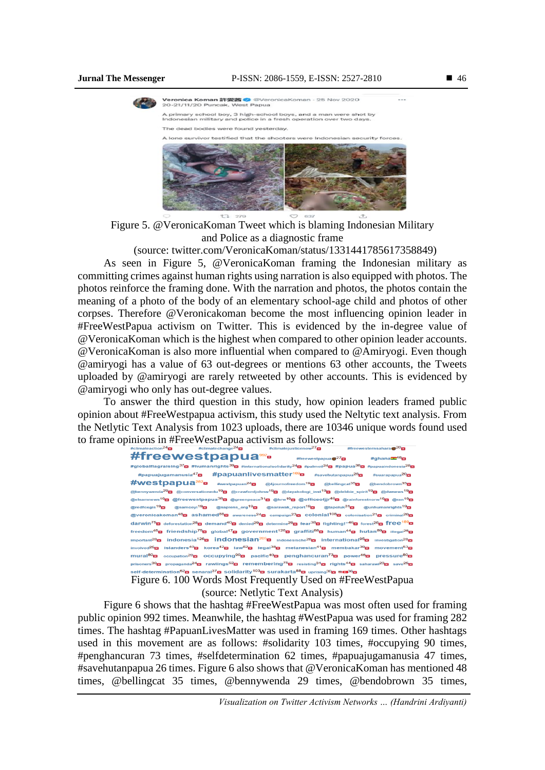



Figure 5. @VeronicaKoman Tweet which is blaming Indonesian Military and Police as a diagnostic frame

tı

(source: twitter.com/VeronicaKoman/status/1331441785617358849)

As seen in Figure 5, @VeronicaKoman framing the Indonesian military as committing crimes against human rights using narration is also equipped with photos. The photos reinforce the framing done. With the narration and photos, the photos contain the meaning of a photo of the body of an elementary school-age child and photos of other corpses. Therefore @Veronicakoman become the most influencing opinion leader in #FreeWestPapua activism on Twitter. This is evidenced by the in-degree value of @VeronicaKoman which is the highest when compared to other opinion leader accounts. @VeronicaKoman is also more influential when compared to @Amiryogi. Even though @amiryogi has a value of 63 out-degrees or mentions 63 other accounts, the Tweets uploaded by @amiryogi are rarely retweeted by other accounts. This is evidenced by @amiryogi who only has out-degree values.

To answer the third question in this study, how opinion leaders framed public opinion about #FreeWestpapua activism, this study used the Neltytic text analysis. From the Netlytic Text Analysis from 1023 uploads, there are 10346 unique words found used to frame opinions in #FreeWestPapua activism as follows:

| #climateaction <sup>24</sup> m  | #climatechange <sup>24</sup> ⊠ #climateiusticenow <sup>27</sup> ⊠ #freewesternsahara                                                                                                                                                                                                             |                                                                                                                             |                                                                  |  |
|---------------------------------|--------------------------------------------------------------------------------------------------------------------------------------------------------------------------------------------------------------------------------------------------------------------------------------------------|-----------------------------------------------------------------------------------------------------------------------------|------------------------------------------------------------------|--|
|                                 | #freewestpapua <sup>39</sup>                                                                                                                                                                                                                                                                     |                                                                                                                             | #ghana <sup>—46</sup> ⊠<br>#freewestpapua $\blacksquare^{27}$ 23 |  |
|                                 | #globalflagraising <sup>37</sup> ⊠ #humanrights <sup>39</sup> ⊠ #internationalsolidarity <sup>24</sup> ⊠ #palmoil <sup>24</sup> ⊠ #papua <sup>38</sup> ⊠ #papuaindonesia <sup>28</sup> ⊠                                                                                                         |                                                                                                                             |                                                                  |  |
| #papuajugamanusia $47$ $\rm{E}$ |                                                                                                                                                                                                                                                                                                  | $\#$ papuanlivesmatter <sup>169</sup> $\bar{a}$ #savehutanpapua <sup>26</sup> $\bar{a}$ #suarapapua <sup>20</sup> $\bar{a}$ |                                                                  |  |
|                                 | $\# \text{Westpauge}$ a $^{282}$ $^{282}$ $^{24}$ $^{24}$ $^{24}$ $^{24}$ $^{24}$ $^{24}$ $^{24}$ $^{24}$ $^{24}$ $^{24}$ $^{24}$ $^{24}$ $^{24}$ $^{24}$ $^{24}$ $^{24}$ $^{24}$ $^{24}$ $^{24}$ $^{24}$ $^{24}$ $^{24}$ $^{24}$ $^{24}$ $^{24}$ $^{24}$ $^{24}$                                |                                                                                                                             |                                                                  |  |
|                                 | @bennywenda <sup>29</sup> ⊠ @conversationedu <sup>19</sup> ⊠ @crawfordjohnw <sup>19</sup> ⊠ @dayakologi_inst <sup>19</sup> ⊠ @debbie_spirit <sup>19</sup> ⊠ @dwnews <sup>19</sup> ⊠                                                                                                              |                                                                                                                             |                                                                  |  |
|                                 | @elsamnews <sup>19</sup> ⊠ @freewestpapua <sup>38</sup> ⊠ @greenpeace <sup>31</sup> ⊠ @hrw <sup>19</sup> ⊠ @officeofjjr <sup>46</sup> ⊠ @rainforestnorw <sup>19</sup> ⊠ @ran <sup>19</sup> ⊠                                                                                                     |                                                                                                                             |                                                                  |  |
| @redfoxgis <sup>19</sup> 23     | @samcoyi <sup>19</sup> ⊠ @sapiens_org <sup>19</sup> ⊠ @sarawak_report <sup>19</sup> ⊠ @tapoluk <sup>31</sup> ⊠ @unhumanrights <sup>19</sup> ⊠                                                                                                                                                    |                                                                                                                             |                                                                  |  |
|                                 | @veronicakoman <sup>48</sup> ⊠ ashamed <sup>88</sup> ⊠ awareness <sup>24</sup> ⊠ campaign <sup>23</sup> ⊠ colonial <sup>108</sup> ⊠ colonisation <sup>21</sup> ⊠ criminal <sup>20</sup> ⊠                                                                                                        |                                                                                                                             |                                                                  |  |
|                                 | darwin <sup>75</sup> ⊠ deforestation <sup>28</sup> ⊠ demand <sup>40</sup> ⊠ denied <sup>29</sup> ⊠ determine <sup>29</sup> ⊠ fear <sup>38</sup> ⊠ fighting!" <sup>46</sup> ⊠ forest <sup>26</sup> ⊠ <b>f</b> fee <sup>189</sup> ⊠                                                                |                                                                                                                             |                                                                  |  |
|                                 | freedom <sup>45</sup> ⊠ friendship <sup>75</sup> ⊠ global <sup>47</sup> ⊠ government <sup>126</sup> ⊠ graffiti <sup>88</sup> ⊠ human <sup>44</sup> ⊠ hutan <sup>89</sup> ⊠ illegal <sup>25</sup> ⊠                                                                                               |                                                                                                                             |                                                                  |  |
|                                 | important <sup>28</sup> g indonesia <sup>126</sup> g indonesian <sup>205</sup> g indonesische <sup>28</sup> g international <sup>95</sup> g investigation <sup>28</sup> g                                                                                                                        |                                                                                                                             |                                                                  |  |
|                                 | involved <sup>25</sup> ⊠ islanders <sup>40</sup> ⊠ korea <sup>42</sup> ⊠ law <sup>62</sup> ⊠ legal <sup>38</sup> ⊠ melanesian <sup>41</sup> ⊠ membakar <sup>39</sup> ⊠ movement <sup>53</sup> ⊠                                                                                                  |                                                                                                                             |                                                                  |  |
|                                 |                                                                                                                                                                                                                                                                                                  |                                                                                                                             |                                                                  |  |
|                                 | prisoners <sup>30</sup> $\mathbf{g}$ propaganda <sup>24</sup> $\mathbf{g}$ rawlings <sup>52</sup> $\mathbf{g}$ remembering <sup>75</sup> $\mathbf{g}$ resisting <sup>31</sup> $\mathbf{g}$ rights <sup>44</sup> $\mathbf{g}$ saharawi <sup>23</sup> $\mathbf{g}$ save <sup>25</sup> $\mathbf{g}$ |                                                                                                                             |                                                                  |  |
|                                 | self-determination <sup>62</sup> ⊠ senarai <sup>37</sup> ⊠ Solidarity <sup>103</sup> ⊠ Surakarta <sup>88</sup> ⊠ uprising <sup>30</sup> ⊠ <del>"©0</del> <sup>36</sup> ⊠                                                                                                                         |                                                                                                                             |                                                                  |  |
|                                 | Figure 6. 100 Words Most Frequently Used on #FreeWestPapua                                                                                                                                                                                                                                       |                                                                                                                             |                                                                  |  |

(source: Netlytic Text Analysis)

Figure 6 shows that the hashtag #FreeWestPapua was most often used for framing public opinion 992 times. Meanwhile, the hashtag #WestPapua was used for framing 282 times. The hashtag #PapuanLivesMatter was used in framing 169 times. Other hashtags used in this movement are as follows: #solidarity 103 times, #occupying 90 times, #penghancuran 73 times, #selfdetermination 62 times, #papuajugamanusia 47 times, #savehutanpapua 26 times. Figure 6 also shows that @VeronicaKoman has mentioned 48 times, @bellingcat 35 times, @bennywenda 29 times, @bendobrown 35 times,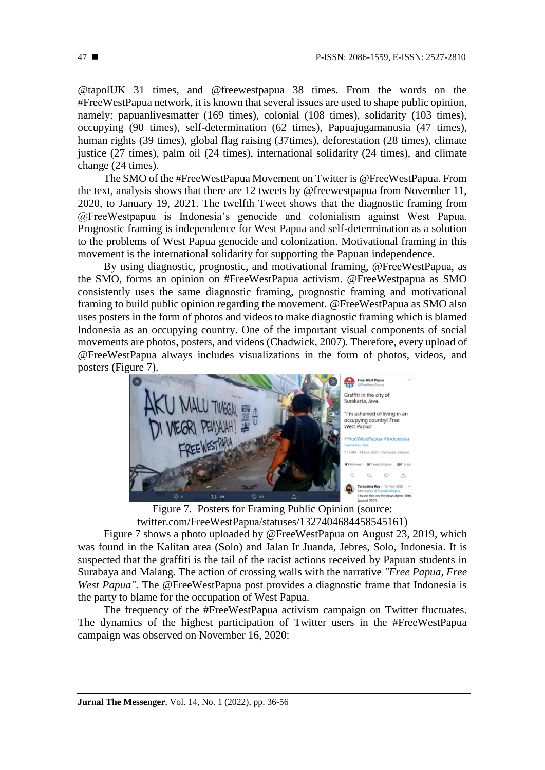@tapolUK 31 times, and @freewestpapua 38 times. From the words on the #FreeWestPapua network, it is known that several issues are used to shape public opinion, namely: papuanlivesmatter (169 times), colonial (108 times), solidarity (103 times), occupying (90 times), self-determination (62 times), Papuajugamanusia (47 times), human rights (39 times), global flag raising (37times), deforestation (28 times), climate justice (27 times), palm oil (24 times), international solidarity (24 times), and climate change (24 times).

The SMO of the #FreeWestPapua Movement on Twitter is @FreeWestPapua. From the text, analysis shows that there are 12 tweets by @freewestpapua from November 11, 2020, to January 19, 2021. The twelfth Tweet shows that the diagnostic framing from @FreeWestpapua is Indonesia's genocide and colonialism against West Papua. Prognostic framing is independence for West Papua and self-determination as a solution to the problems of West Papua genocide and colonization. Motivational framing in this movement is the international solidarity for supporting the Papuan independence.

By using diagnostic, prognostic, and motivational framing, @FreeWestPapua, as the SMO, forms an opinion on #FreeWestPapua activism. @FreeWestpapua as SMO consistently uses the same diagnostic framing, prognostic framing and motivational framing to build public opinion regarding the movement. @FreeWestPapua as SMO also uses posters in the form of photos and videos to make diagnostic framing which is blamed Indonesia as an occupying country. One of the important visual components of social movements are photos, posters, and videos (Chadwick, 2007). Therefore, every upload of @FreeWestPapua always includes visualizations in the form of photos, videos, and posters (Figure 7).



Figure 7. Posters for Framing Public Opinion (source: twitter.com/FreeWestPapua/statuses/1327404684458545161)

Figure 7 shows a photo uploaded by @FreeWestPapua on August 23, 2019, which was found in the Kalitan area (Solo) and Jalan Ir Juanda, Jebres, Solo, Indonesia. It is suspected that the graffiti is the tail of the racist actions received by Papuan students in Surabaya and Malang. The action of crossing walls with the narrative *"Free Papua, Free West Papua"*. The @FreeWestPapua post provides a diagnostic frame that Indonesia is the party to blame for the occupation of West Papua.

The frequency of the #FreeWestPapua activism campaign on Twitter fluctuates. The dynamics of the highest participation of Twitter users in the #FreeWestPapua campaign was observed on November 16, 2020: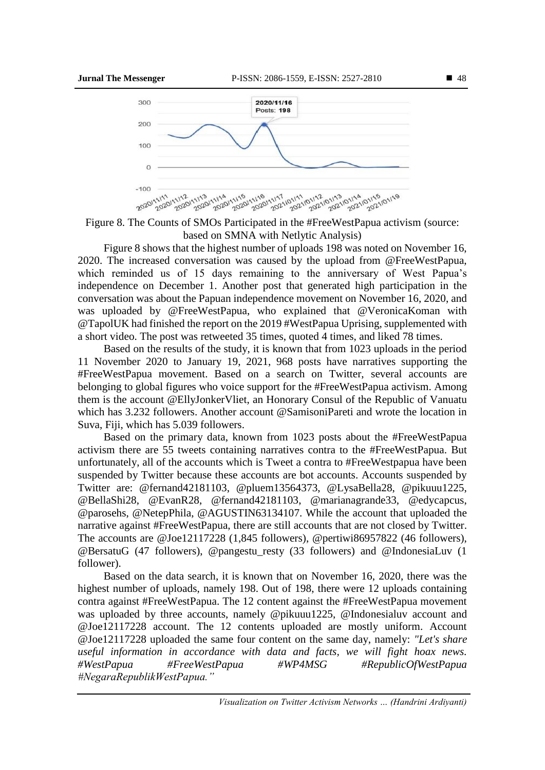

Figure 8. The Counts of SMOs Participated in the #FreeWestPapua activism (source: based on SMNA with Netlytic Analysis)

Figure 8 shows that the highest number of uploads 198 was noted on November 16, 2020. The increased conversation was caused by the upload from @FreeWestPapua, which reminded us of 15 days remaining to the anniversary of West Papua's independence on December 1. Another post that generated high participation in the conversation was about the Papuan independence movement on November 16, 2020, and was uploaded by @FreeWestPapua, who explained that @VeronicaKoman with @TapolUK had finished the report on the 2019 #WestPapua Uprising, supplemented with a short video. The post was retweeted 35 times, quoted 4 times, and liked 78 times.

Based on the results of the study, it is known that from 1023 uploads in the period 11 November 2020 to January 19, 2021, 968 posts have narratives supporting the #FreeWestPapua movement. Based on a search on Twitter, several accounts are belonging to global figures who voice support for the #FreeWestPapua activism. Among them is the account @EllyJonkerVliet, an Honorary Consul of the Republic of Vanuatu which has 3.232 followers. Another account @SamisoniPareti and wrote the location in Suva, Fiji, which has 5.039 followers.

Based on the primary data, known from 1023 posts about the #FreeWestPapua activism there are 55 tweets containing narratives contra to the #FreeWestPapua. But unfortunately, all of the accounts which is Tweet a contra to #FreeWestpapua have been suspended by Twitter because these accounts are bot accounts. Accounts suspended by Twitter are: @fernand42181103, @pluem13564373, @LysaBella28, @pikuuu1225, @BellaShi28, @EvanR28, @fernand42181103, @marianagrande33, @edycapcus, @parosehs, @NetepPhila, @AGUSTIN63134107. While the account that uploaded the narrative against #FreeWestPapua, there are still accounts that are not closed by Twitter. The accounts are @Joe12117228 (1,845 followers), @pertiwi86957822 (46 followers), @BersatuG (47 followers), @pangestu\_resty (33 followers) and @IndonesiaLuv (1 follower).

Based on the data search, it is known that on November 16, 2020, there was the highest number of uploads, namely 198. Out of 198, there were 12 uploads containing contra against #FreeWestPapua. The 12 content against the #FreeWestPapua movement was uploaded by three accounts, namely @pikuuu1225, @Indonesialuv account and @Joe12117228 account. The 12 contents uploaded are mostly uniform. Account @Joe12117228 uploaded the same four content on the same day, namely: *"Let's share useful information in accordance with data and facts, we will fight hoax news. #WestPapua #FreeWestPapua #WP4MSG #RepublicOfWestPapua #NegaraRepublikWestPapua."*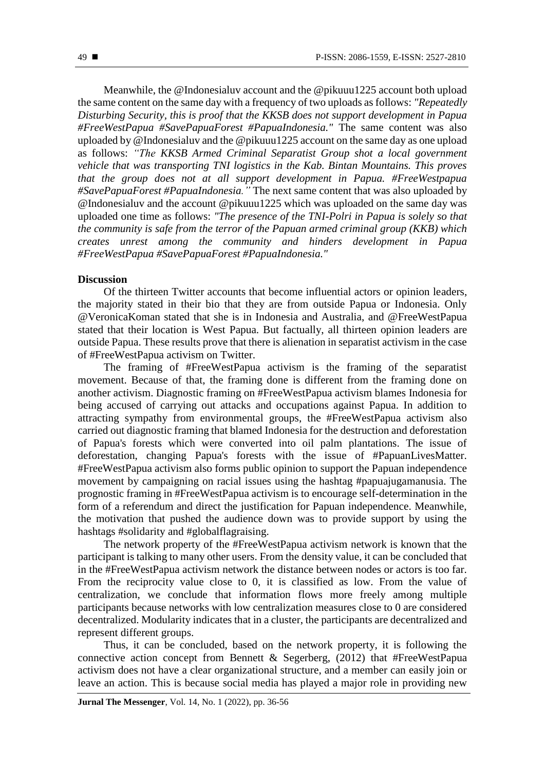Meanwhile, the @Indonesialuv account and the @pikuuu1225 account both upload the same content on the same day with a frequency of two uploads as follows: *"Repeatedly Disturbing Security, this is proof that the KKSB does not support development in Papua #FreeWestPapua #SavePapuaForest #PapuaIndonesia."* The same content was also uploaded by @Indonesialuv and the @pikuuu1225 account on the same day as one upload as follows: *"The KKSB Armed Criminal Separatist Group shot a local government vehicle that was transporting TNI logistics in the Kab. Bintan Mountains. This proves that the group does not at all support development in Papua. #FreeWestpapua #SavePapuaForest #PapuaIndonesia."* The next same content that was also uploaded by @Indonesialuv and the account @pikuuu1225 which was uploaded on the same day was uploaded one time as follows: *"The presence of the TNI-Polri in Papua is solely so that the community is safe from the terror of the Papuan armed criminal group (KKB) which creates unrest among the community and hinders development in Papua #FreeWestPapua #SavePapuaForest #PapuaIndonesia."*

#### **Discussion**

Of the thirteen Twitter accounts that become influential actors or opinion leaders, the majority stated in their bio that they are from outside Papua or Indonesia. Only @VeronicaKoman stated that she is in Indonesia and Australia, and @FreeWestPapua stated that their location is West Papua. But factually, all thirteen opinion leaders are outside Papua. These results prove that there is alienation in separatist activism in the case of #FreeWestPapua activism on Twitter.

The framing of #FreeWestPapua activism is the framing of the separatist movement. Because of that, the framing done is different from the framing done on another activism. Diagnostic framing on #FreeWestPapua activism blames Indonesia for being accused of carrying out attacks and occupations against Papua. In addition to attracting sympathy from environmental groups, the #FreeWestPapua activism also carried out diagnostic framing that blamed Indonesia for the destruction and deforestation of Papua's forests which were converted into oil palm plantations. The issue of deforestation, changing Papua's forests with the issue of #PapuanLivesMatter. #FreeWestPapua activism also forms public opinion to support the Papuan independence movement by campaigning on racial issues using the hashtag #papuajugamanusia. The prognostic framing in #FreeWestPapua activism is to encourage self-determination in the form of a referendum and direct the justification for Papuan independence. Meanwhile, the motivation that pushed the audience down was to provide support by using the hashtags #solidarity and #globalflagraising.

The network property of the #FreeWestPapua activism network is known that the participant is talking to many other users. From the density value, it can be concluded that in the #FreeWestPapua activism network the distance between nodes or actors is too far. From the reciprocity value close to 0, it is classified as low. From the value of centralization, we conclude that information flows more freely among multiple participants because networks with low centralization measures close to 0 are considered decentralized. Modularity indicates that in a cluster, the participants are decentralized and represent different groups.

Thus, it can be concluded, based on the network property, it is following the connective action concept from Bennett & Segerberg, (2012) that #FreeWestPapua activism does not have a clear organizational structure, and a member can easily join or leave an action. This is because social media has played a major role in providing new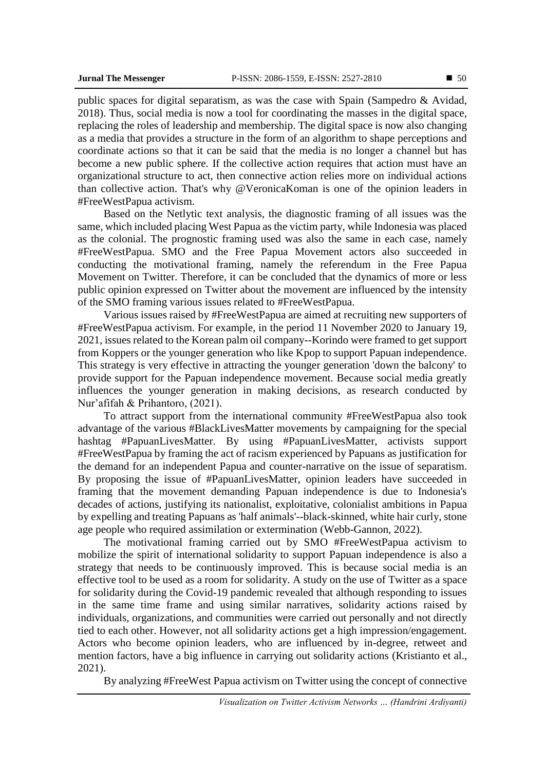public spaces for digital separatism, as was the case with Spain (Sampedro & Avidad, 2018). Thus, social media is now a tool for coordinating the masses in the digital space, replacing the roles of leadership and membership. The digital space is now also changing as a media that provides a structure in the form of an algorithm to shape perceptions and coordinate actions so that it can be said that the media is no longer a channel but has become a new public sphere. If the collective action requires that action must have an organizational structure to act, then connective action relies more on individual actions than collective action. That's why @VeronicaKoman is one of the opinion leaders in #FreeWestPapua activism.

Based on the Netlytic text analysis, the diagnostic framing of all issues was the same, which included placing West Papua as the victim party, while Indonesia was placed as the colonial. The prognostic framing used was also the same in each case, namely #FreeWestPapua. SMO and the Free Papua Movement actors also succeeded in conducting the motivational framing, namely the referendum in the Free Papua Movement on Twitter. Therefore, it can be concluded that the dynamics of more or less public opinion expressed on Twitter about the movement are influenced by the intensity of the SMO framing various issues related to #FreeWestPapua.

Various issues raised by #FreeWestPapua are aimed at recruiting new supporters of #FreeWestPapua activism. For example, in the period 11 November 2020 to January 19, 2021, issues related to the Korean palm oil company--Korindo were framed to get support from Koppers or the younger generation who like Kpop to support Papuan independence. This strategy is very effective in attracting the younger generation 'down the balcony' to provide support for the Papuan independence movement. Because social media greatly influences the younger generation in making decisions, as research conducted by Nur'afifah & Prihantoro, (2021).

To attract support from the international community #FreeWestPapua also took advantage of the various #BlackLivesMatter movements by campaigning for the special hashtag #PapuanLivesMatter. By using #PapuanLivesMatter, activists support #FreeWestPapua by framing the act of racism experienced by Papuans as justification for the demand for an independent Papua and counter-narrative on the issue of separatism. By proposing the issue of #PapuanLivesMatter, opinion leaders have succeeded in framing that the movement demanding Papuan independence is due to Indonesia's decades of actions, justifying its nationalist, exploitative, colonialist ambitions in Papua by expelling and treating Papuans as 'half animals'--black-skinned, white hair curly, stone age people who required assimilation or extermination (Webb-Gannon, 2022).

The motivational framing carried out by SMO #FreeWestPapua activism to mobilize the spirit of international solidarity to support Papuan independence is also a strategy that needs to be continuously improved. This is because social media is an effective tool to be used as a room for solidarity. A study on the use of Twitter as a space for solidarity during the Covid-19 pandemic revealed that although responding to issues in the same time frame and using similar narratives, solidarity actions raised by individuals, organizations, and communities were carried out personally and not directly tied to each other. However, not all solidarity actions get a high impression/engagement. Actors who become opinion leaders, who are influenced by in-degree, retweet and mention factors, have a big influence in carrying out solidarity actions (Kristianto et al., 2021).

By analyzing #FreeWest Papua activism on Twitter using the concept of connective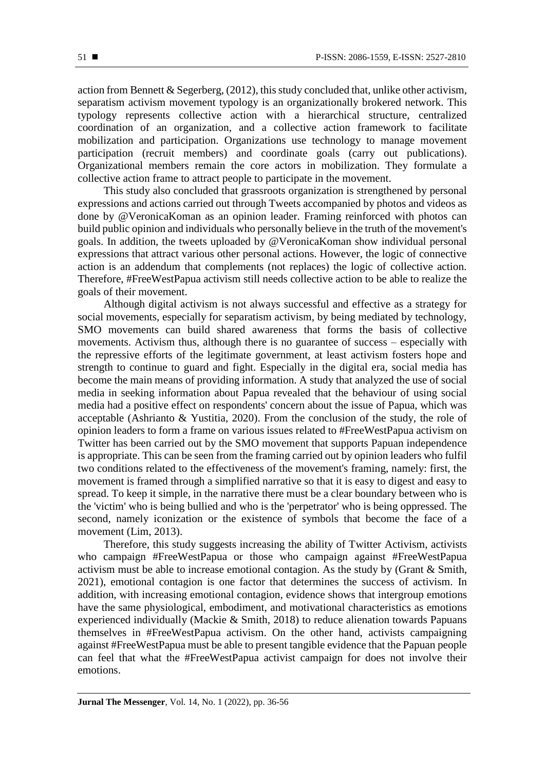action from Bennett & Segerberg,  $(2012)$ , this study concluded that, unlike other activism, separatism activism movement typology is an organizationally brokered network. This typology represents collective action with a hierarchical structure, centralized coordination of an organization, and a collective action framework to facilitate mobilization and participation. Organizations use technology to manage movement participation (recruit members) and coordinate goals (carry out publications). Organizational members remain the core actors in mobilization. They formulate a collective action frame to attract people to participate in the movement.

This study also concluded that grassroots organization is strengthened by personal expressions and actions carried out through Tweets accompanied by photos and videos as done by @VeronicaKoman as an opinion leader. Framing reinforced with photos can build public opinion and individuals who personally believe in the truth of the movement's goals. In addition, the tweets uploaded by @VeronicaKoman show individual personal expressions that attract various other personal actions. However, the logic of connective action is an addendum that complements (not replaces) the logic of collective action. Therefore, #FreeWestPapua activism still needs collective action to be able to realize the goals of their movement.

Although digital activism is not always successful and effective as a strategy for social movements, especially for separatism activism, by being mediated by technology, SMO movements can build shared awareness that forms the basis of collective movements. Activism thus, although there is no guarantee of success – especially with the repressive efforts of the legitimate government, at least activism fosters hope and strength to continue to guard and fight. Especially in the digital era, social media has become the main means of providing information. A study that analyzed the use of social media in seeking information about Papua revealed that the behaviour of using social media had a positive effect on respondents' concern about the issue of Papua, which was acceptable (Ashrianto & Yustitia, 2020). From the conclusion of the study, the role of opinion leaders to form a frame on various issues related to #FreeWestPapua activism on Twitter has been carried out by the SMO movement that supports Papuan independence is appropriate. This can be seen from the framing carried out by opinion leaders who fulfil two conditions related to the effectiveness of the movement's framing, namely: first, the movement is framed through a simplified narrative so that it is easy to digest and easy to spread. To keep it simple, in the narrative there must be a clear boundary between who is the 'victim' who is being bullied and who is the 'perpetrator' who is being oppressed. The second, namely iconization or the existence of symbols that become the face of a movement (Lim, 2013).

Therefore, this study suggests increasing the ability of Twitter Activism, activists who campaign #FreeWestPapua or those who campaign against #FreeWestPapua activism must be able to increase emotional contagion. As the study by (Grant & Smith, 2021), emotional contagion is one factor that determines the success of activism. In addition, with increasing emotional contagion, evidence shows that intergroup emotions have the same physiological, embodiment, and motivational characteristics as emotions experienced individually (Mackie & Smith, 2018) to reduce alienation towards Papuans themselves in #FreeWestPapua activism. On the other hand, activists campaigning against #FreeWestPapua must be able to present tangible evidence that the Papuan people can feel that what the #FreeWestPapua activist campaign for does not involve their emotions.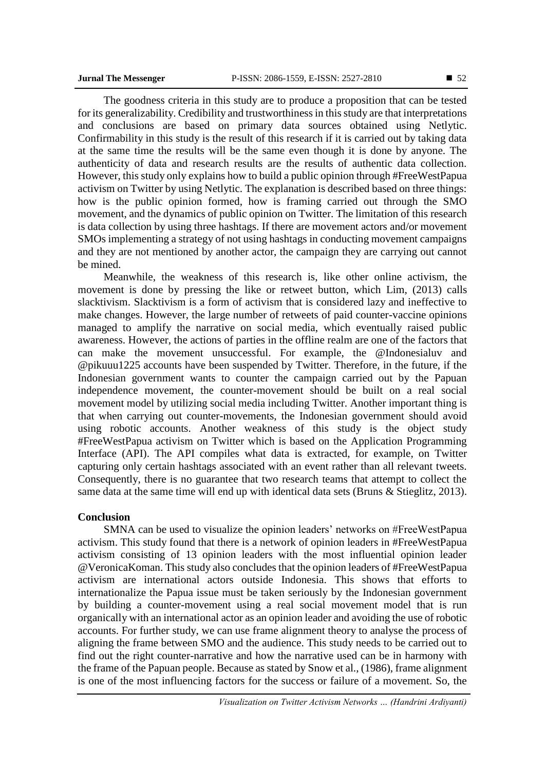The goodness criteria in this study are to produce a proposition that can be tested for its generalizability. Credibility and trustworthiness in this study are that interpretations and conclusions are based on primary data sources obtained using Netlytic. Confirmability in this study is the result of this research if it is carried out by taking data at the same time the results will be the same even though it is done by anyone. The authenticity of data and research results are the results of authentic data collection. However, this study only explains how to build a public opinion through #FreeWestPapua activism on Twitter by using Netlytic. The explanation is described based on three things: how is the public opinion formed, how is framing carried out through the SMO movement, and the dynamics of public opinion on Twitter. The limitation of this research is data collection by using three hashtags. If there are movement actors and/or movement SMOs implementing a strategy of not using hashtags in conducting movement campaigns and they are not mentioned by another actor, the campaign they are carrying out cannot be mined.

Meanwhile, the weakness of this research is, like other online activism, the movement is done by pressing the like or retweet button, which Lim, (2013) calls slacktivism. Slacktivism is a form of activism that is considered lazy and ineffective to make changes. However, the large number of retweets of paid counter-vaccine opinions managed to amplify the narrative on social media, which eventually raised public awareness. However, the actions of parties in the offline realm are one of the factors that can make the movement unsuccessful. For example, the @Indonesialuv and @pikuuu1225 accounts have been suspended by Twitter. Therefore, in the future, if the Indonesian government wants to counter the campaign carried out by the Papuan independence movement, the counter-movement should be built on a real social movement model by utilizing social media including Twitter. Another important thing is that when carrying out counter-movements, the Indonesian government should avoid using robotic accounts. Another weakness of this study is the object study #FreeWestPapua activism on Twitter which is based on the Application Programming Interface (API). The API compiles what data is extracted, for example, on Twitter capturing only certain hashtags associated with an event rather than all relevant tweets. Consequently, there is no guarantee that two research teams that attempt to collect the same data at the same time will end up with identical data sets (Bruns & Stieglitz, 2013).

#### **Conclusion**

SMNA can be used to visualize the opinion leaders' networks on #FreeWestPapua activism. This study found that there is a network of opinion leaders in #FreeWestPapua activism consisting of 13 opinion leaders with the most influential opinion leader @VeronicaKoman. This study also concludesthat the opinion leaders of #FreeWestPapua activism are international actors outside Indonesia. This shows that efforts to internationalize the Papua issue must be taken seriously by the Indonesian government by building a counter-movement using a real social movement model that is run organically with an international actor as an opinion leader and avoiding the use of robotic accounts. For further study, we can use frame alignment theory to analyse the process of aligning the frame between SMO and the audience. This study needs to be carried out to find out the right counter-narrative and how the narrative used can be in harmony with the frame of the Papuan people. Because as stated by Snow et al., (1986), frame alignment is one of the most influencing factors for the success or failure of a movement. So, the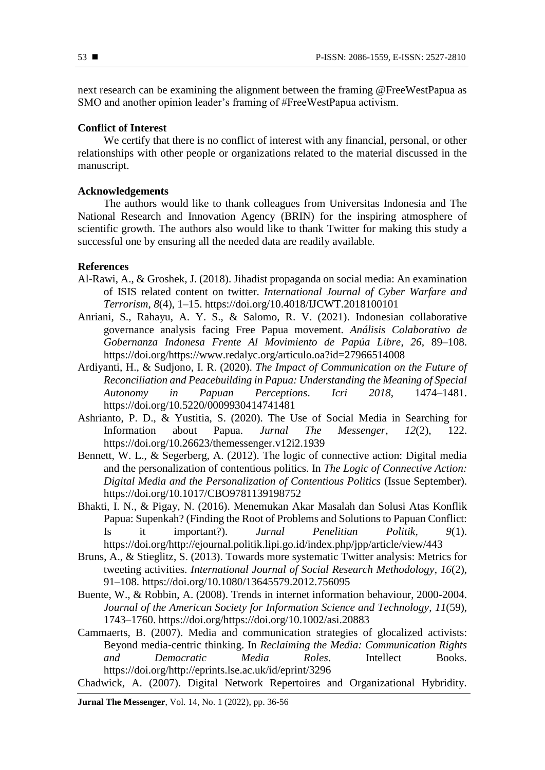next research can be examining the alignment between the framing @FreeWestPapua as SMO and another opinion leader's framing of #FreeWestPapua activism.

# **Conflict of Interest**

We certify that there is no conflict of interest with any financial, personal, or other relationships with other people or organizations related to the material discussed in the manuscript.

#### **Acknowledgements**

The authors would like to thank colleagues from Universitas Indonesia and The National Research and Innovation Agency (BRIN) for the inspiring atmosphere of scientific growth. The authors also would like to thank Twitter for making this study a successful one by ensuring all the needed data are readily available.

# **References**

- Al-Rawi, A., & Groshek, J. (2018). Jihadist propaganda on social media: An examination of ISIS related content on twitter. *International Journal of Cyber Warfare and Terrorism*, *8*(4), 1–15. https://doi.org/10.4018/IJCWT.2018100101
- Anriani, S., Rahayu, A. Y. S., & Salomo, R. V. (2021). Indonesian collaborative governance analysis facing Free Papua movement. *Análisis Colaborativo de Gobernanza Indonesa Frente Al Movimiento de Papúa Libre*, *26*, 89–108. https://doi.org/https://www.redalyc.org/articulo.oa?id=27966514008
- Ardiyanti, H., & Sudjono, I. R. (2020). *The Impact of Communication on the Future of Reconciliation and Peacebuilding in Papua: Understanding the Meaning of Special Autonomy in Papuan Perceptions*. *Icri 2018*, 1474–1481. https://doi.org/10.5220/0009930414741481
- Ashrianto, P. D., & Yustitia, S. (2020). The Use of Social Media in Searching for Information about Papua. *Jurnal The Messenger*, *12*(2), 122. https://doi.org/10.26623/themessenger.v12i2.1939
- Bennett, W. L., & Segerberg, A. (2012). The logic of connective action: Digital media and the personalization of contentious politics. In *The Logic of Connective Action: Digital Media and the Personalization of Contentious Politics* (Issue September). https://doi.org/10.1017/CBO9781139198752
- Bhakti, I. N., & Pigay, N. (2016). Menemukan Akar Masalah dan Solusi Atas Konflik Papua: Supenkah? (Finding the Root of Problems and Solutions to Papuan Conflict: Is it important?). *Jurnal Penelitian Politik*, *9*(1). https://doi.org/http://ejournal.politik.lipi.go.id/index.php/jpp/article/view/443
- Bruns, A., & Stieglitz, S. (2013). Towards more systematic Twitter analysis: Metrics for tweeting activities. *International Journal of Social Research Methodology*, *16*(2), 91–108. https://doi.org/10.1080/13645579.2012.756095
- Buente, W., & Robbin, A. (2008). Trends in internet information behaviour, 2000-2004. *Journal of the American Society for Information Science and Technology*, *11*(59), 1743–1760. https://doi.org/https://doi.org/10.1002/asi.20883
- Cammaerts, B. (2007). Media and communication strategies of glocalized activists: Beyond media-centric thinking. In *Reclaiming the Media: Communication Rights and Democratic Media Roles*. Intellect Books. https://doi.org/http://eprints.lse.ac.uk/id/eprint/3296

Chadwick, A. (2007). Digital Network Repertoires and Organizational Hybridity.

**Jurnal The Messenger**, Vol. 14, No. 1 (2022), pp. 36-56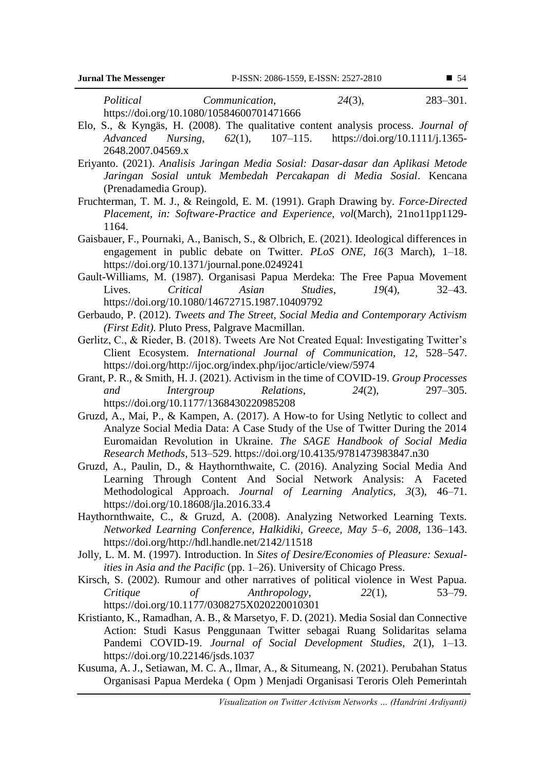*Political Communication*, *24*(3), 283–301. https://doi.org/10.1080/10584600701471666

- Elo, S., & Kyngäs, H. (2008). The qualitative content analysis process. *Journal of Advanced Nursing*, *62*(1), 107–115. https://doi.org/10.1111/j.1365- 2648.2007.04569.x
- Eriyanto. (2021). *Analisis Jaringan Media Sosial: Dasar-dasar dan Aplikasi Metode Jaringan Sosial untuk Membedah Percakapan di Media Sosial*. Kencana (Prenadamedia Group).
- Fruchterman, T. M. J., & Reingold, E. M. (1991). Graph Drawing by. *Force-Directed Placement, in: Software-Practice and Experience*, *vol*(March), 21no11pp1129- 1164.
- Gaisbauer, F., Pournaki, A., Banisch, S., & Olbrich, E. (2021). Ideological differences in engagement in public debate on Twitter. *PLoS ONE*, *16*(3 March), 1–18. https://doi.org/10.1371/journal.pone.0249241
- Gault-Williams, M. (1987). Organisasi Papua Merdeka: The Free Papua Movement Lives. *Critical Asian Studies*, *19*(4), 32–43. https://doi.org/10.1080/14672715.1987.10409792
- Gerbaudo, P. (2012). *Tweets and The Street, Social Media and Contemporary Activism (First Edit)*. Pluto Press, Palgrave Macmillan.
- Gerlitz, C., & Rieder, B. (2018). Tweets Are Not Created Equal: Investigating Twitter's Client Ecosystem. *International Journal of Communication*, *12*, 528–547. https://doi.org/http://ijoc.org/index.php/ijoc/article/view/5974
- Grant, P. R., & Smith, H. J. (2021). Activism in the time of COVID-19. *Group Processes and Intergroup Relations*, *24*(2), 297–305. https://doi.org/10.1177/1368430220985208
- Gruzd, A., Mai, P., & Kampen, A. (2017). A How-to for Using Netlytic to collect and Analyze Social Media Data: A Case Study of the Use of Twitter During the 2014 Euromaidan Revolution in Ukraine. *The SAGE Handbook of Social Media Research Methods*, 513–529. https://doi.org/10.4135/9781473983847.n30
- Gruzd, A., Paulin, D., & Haythornthwaite, C. (2016). Analyzing Social Media And Learning Through Content And Social Network Analysis: A Faceted Methodological Approach. *Journal of Learning Analytics*, *3*(3), 46–71. https://doi.org/10.18608/jla.2016.33.4
- Haythornthwaite, C., & Gruzd, A. (2008). Analyzing Networked Learning Texts. *Networked Learning Conference, Halkidiki, Greece, May 5–6, 2008*, 136–143. https://doi.org/http://hdl.handle.net/2142/11518
- Jolly, L. M. M. (1997). Introduction. In *Sites of Desire/Economies of Pleasure: Sexualities in Asia and the Pacific* (pp. 1–26). University of Chicago Press.
- Kirsch, S. (2002). Rumour and other narratives of political violence in West Papua. *Critique of Anthropology*, *22*(1), 53–79. https://doi.org/10.1177/0308275X020220010301
- Kristianto, K., Ramadhan, A. B., & Marsetyo, F. D. (2021). Media Sosial dan Connective Action: Studi Kasus Penggunaan Twitter sebagai Ruang Solidaritas selama Pandemi COVID-19. *Journal of Social Development Studies*, *2*(1), 1–13. https://doi.org/10.22146/jsds.1037
- Kusuma, A. J., Setiawan, M. C. A., Ilmar, A., & Situmeang, N. (2021). Perubahan Status Organisasi Papua Merdeka ( Opm ) Menjadi Organisasi Teroris Oleh Pemerintah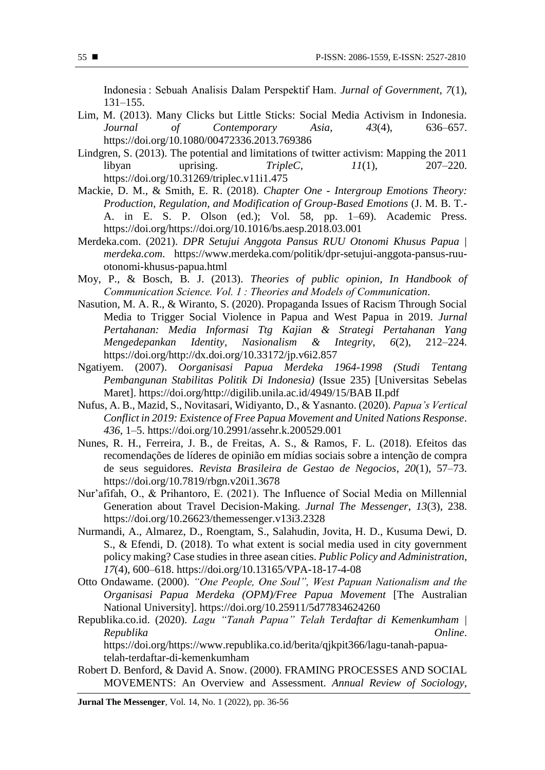Indonesia : Sebuah Analisis Dalam Perspektif Ham. *Jurnal of Government*, *7*(1), 131–155.

- Lim, M. (2013). Many Clicks but Little Sticks: Social Media Activism in Indonesia. *Journal of Contemporary Asia*, *43*(4), 636–657. https://doi.org/10.1080/00472336.2013.769386
- Lindgren, S. (2013). The potential and limitations of twitter activism: Mapping the 2011 libyan uprising. *TripleC*, *11*(1), 207–220. https://doi.org/10.31269/triplec.v11i1.475
- Mackie, D. M., & Smith, E. R. (2018). *Chapter One - Intergroup Emotions Theory: Production, Regulation, and Modification of Group-Based Emotions* (J. M. B. T.- A. in E. S. P. Olson (ed.); Vol. 58, pp. 1–69). Academic Press. https://doi.org/https://doi.org/10.1016/bs.aesp.2018.03.001
- Merdeka.com. (2021). *DPR Setujui Anggota Pansus RUU Otonomi Khusus Papua | merdeka.com*. https://www.merdeka.com/politik/dpr-setujui-anggota-pansus-ruuotonomi-khusus-papua.html
- Moy, P., & Bosch, B. J. (2013). *Theories of public opinion, In Handbook of Communication Science. Vol. 1 : Theories and Models of Communication*.
- Nasution, M. A. R., & Wiranto, S. (2020). Propaganda Issues of Racism Through Social Media to Trigger Social Violence in Papua and West Papua in 2019. *Jurnal Pertahanan: Media Informasi Ttg Kajian & Strategi Pertahanan Yang Mengedepankan Identity, Nasionalism & Integrity*, *6*(2), 212–224. https://doi.org/http://dx.doi.org/10.33172/jp.v6i2.857
- Ngatiyem. (2007). *Oorganisasi Papua Merdeka 1964-1998 (Studi Tentang Pembangunan Stabilitas Politik Di Indonesia)* (Issue 235) [Universitas Sebelas Maret]. https://doi.org/http://digilib.unila.ac.id/4949/15/BAB II.pdf
- Nufus, A. B., Mazid, S., Novitasari, Widiyanto, D., & Yasnanto. (2020). *Papua's Vertical Conflict in 2019: Existence of Free Papua Movement and United Nations Response*. *436*, 1–5. https://doi.org/10.2991/assehr.k.200529.001
- Nunes, R. H., Ferreira, J. B., de Freitas, A. S., & Ramos, F. L. (2018). Efeitos das recomendações de líderes de opinião em mídias sociais sobre a intenção de compra de seus seguidores. *Revista Brasileira de Gestao de Negocios*, *20*(1), 57–73. https://doi.org/10.7819/rbgn.v20i1.3678
- Nur'afifah, O., & Prihantoro, E. (2021). The Influence of Social Media on Millennial Generation about Travel Decision-Making. *Jurnal The Messenger*, *13*(3), 238. https://doi.org/10.26623/themessenger.v13i3.2328
- Nurmandi, A., Almarez, D., Roengtam, S., Salahudin, Jovita, H. D., Kusuma Dewi, D. S., & Efendi, D. (2018). To what extent is social media used in city government policy making? Case studies in three asean cities. *Public Policy and Administration*, *17*(4), 600–618. https://doi.org/10.13165/VPA-18-17-4-08
- Otto Ondawame. (2000). *"One People, One Soul", West Papuan Nationalism and the Organisasi Papua Merdeka (OPM)/Free Papua Movement* [The Australian National University]. https://doi.org/10.25911/5d77834624260
- Republika.co.id. (2020). *Lagu "Tanah Papua" Telah Terdaftar di Kemenkumham | Republika Online*.

https://doi.org/https://www.republika.co.id/berita/qjkpit366/lagu-tanah-papuatelah-terdaftar-di-kemenkumham

Robert D. Benford, & David A. Snow. (2000). FRAMING PROCESSES AND SOCIAL MOVEMENTS: An Overview and Assessment. *Annual Review of Sociology*,

**Jurnal The Messenger**, Vol. 14, No. 1 (2022), pp. 36-56